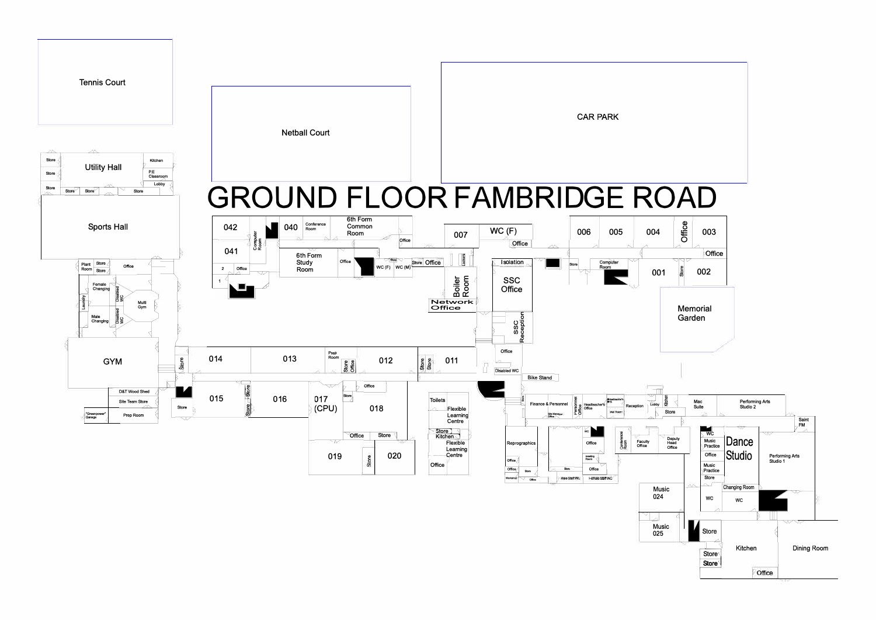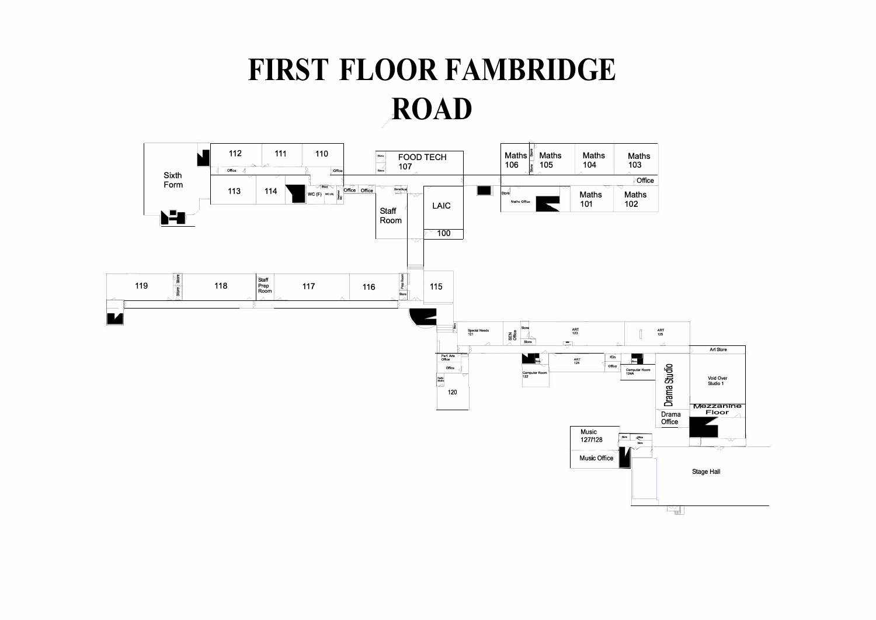## FIRST FLOOR FAMBRIDGE **ROAD**

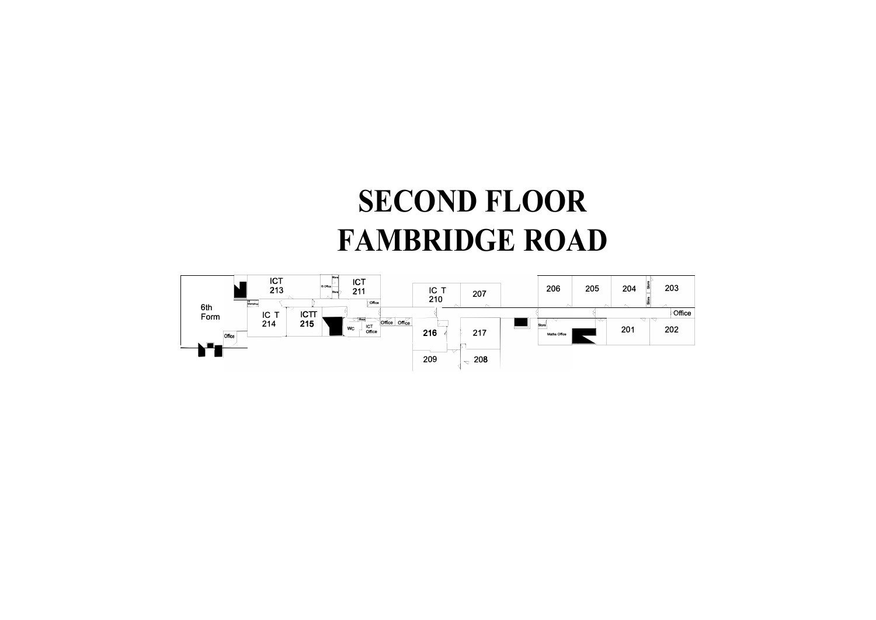## **SECOND FLOOR FAMBRIDGE ROAD**

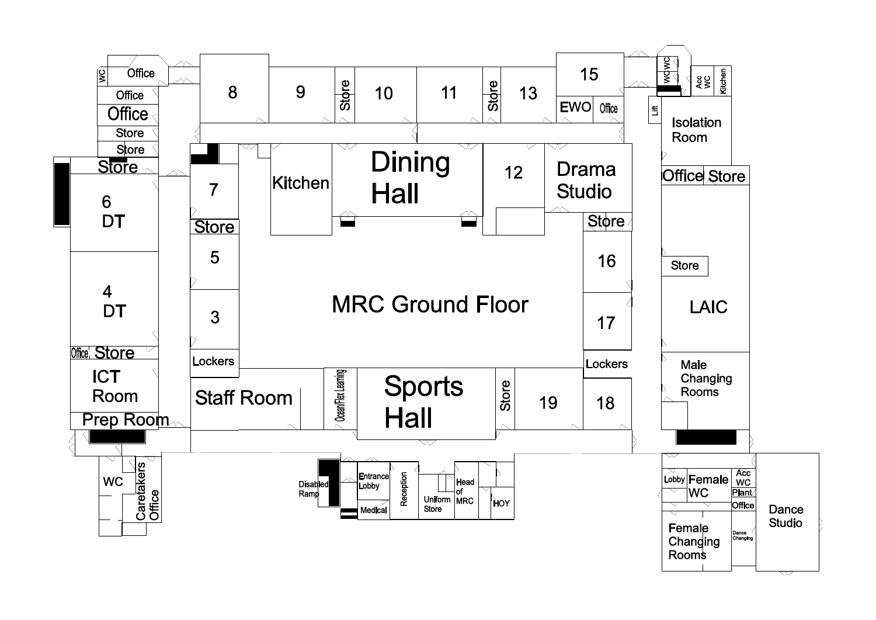